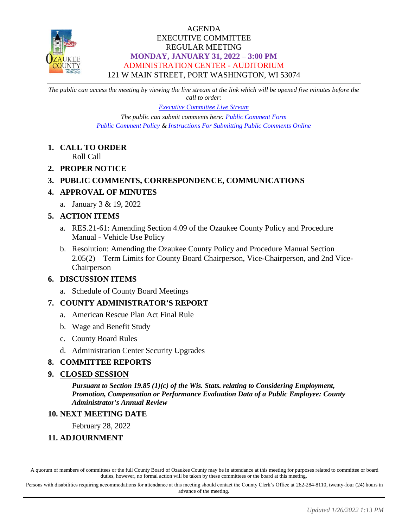

## AGENDA EXECUTIVE COMMITTEE REGULAR MEETING **MONDAY, JANUARY 31, 2022 – 3:00 PM** ADMINISTRATION CENTER - AUDITORIUM 121 W MAIN STREET, PORT WASHINGTON, WI 53074

*The public can access the meeting by viewing the live stream at the link which will be opened five minutes before the call to order:*

> *[Executive Committee Live Stream](https://www.youtube.com/channel/UCQ16yLTEJmJo_h02WDDqcqg) The public can submit comments here: [Public Comment Form](https://www.co.ozaukee.wi.us/FormCenter/Email-Forms-28/Email-Public-Comment-300) [Public Comment Policy](https://www.co.ozaukee.wi.us/2663/Public-Comments-at-In-Person-Meetings) & [Instructions For Submitting Public Comments Online](https://www.co.ozaukee.wi.us/2645/Public-Comments-at-Zoom-Meetings)*

## **1. CALL TO ORDER**

Roll Call

**2. PROPER NOTICE**

## **3. PUBLIC COMMENTS, CORRESPONDENCE, COMMUNICATIONS**

## **4. APPROVAL OF MINUTES**

a. January 3 & 19, 2022

## **5. ACTION ITEMS**

- a. RES.21-61: Amending Section 4.09 of the Ozaukee County Policy and Procedure Manual - Vehicle Use Policy
- b. Resolution: Amending the Ozaukee County Policy and Procedure Manual Section 2.05(2) – Term Limits for County Board Chairperson, Vice-Chairperson, and 2nd Vice-Chairperson

## **6. DISCUSSION ITEMS**

a. Schedule of County Board Meetings

## **7. COUNTY ADMINISTRATOR'S REPORT**

- a. American Rescue Plan Act Final Rule
- b. Wage and Benefit Study
- c. County Board Rules
- d. Administration Center Security Upgrades

## **8. COMMITTEE REPORTS**

## **9. CLOSED SESSION**

*Pursuant to Section 19.85 (1)(c) of the Wis. Stats. relating to Considering Employment, Promotion, Compensation or Performance Evaluation Data of a Public Employee: County Administrator's Annual Review*

## **10. NEXT MEETING DATE**

February 28, 2022

## **11. ADJOURNMENT**

A quorum of members of committees or the full County Board of Ozaukee County may be in attendance at this meeting for purposes related to committee or board duties, however, no formal action will be taken by these committees or the board at this meeting.

Persons with disabilities requiring accommodations for attendance at this meeting should contact the County Clerk's Office at 262-284-8110, twenty-four (24) hours in advance of the meeting.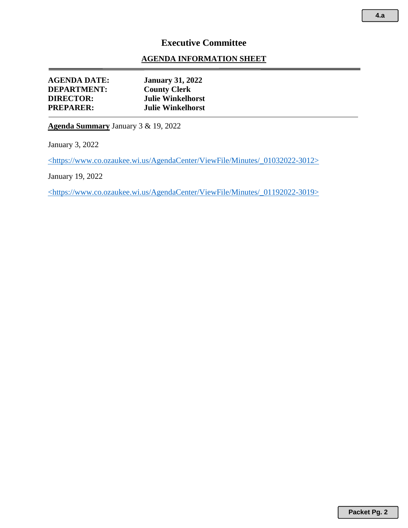# **Executive Committee**

## **AGENDA INFORMATION SHEET**

| <b>AGENDA DATE:</b> | <b>January 31, 2022</b>  |
|---------------------|--------------------------|
| <b>DEPARTMENT:</b>  | <b>County Clerk</b>      |
| <b>DIRECTOR:</b>    | <b>Julie Winkelhorst</b> |
| <b>PREPARER:</b>    | <b>Julie Winkelhorst</b> |
|                     |                          |

**Agenda Summary** January 3 & 19, 2022

January 3, 2022

<https://www.co.ozaukee.wi.us/AgendaCenter/ViewFile/Minutes/\_01032022-3012>

January 19, 2022

<https://www.co.ozaukee.wi.us/AgendaCenter/ViewFile/Minutes/\_01192022-3019>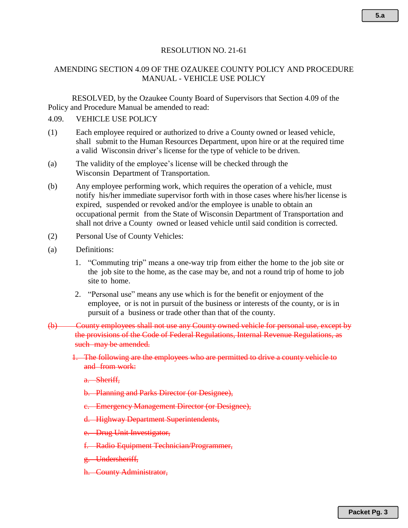#### RESOLUTION NO. 21-61

### AMENDING SECTION 4.09 OF THE OZAUKEE COUNTY POLICY AND PROCEDURE MANUAL - VEHICLE USE POLICY

RESOLVED, by the Ozaukee County Board of Supervisors that Section 4.09 of the Policy and Procedure Manual be amended to read:

#### 4.09. VEHICLE USE POLICY

- (1) Each employee required or authorized to drive a County owned or leased vehicle, shall submit to the Human Resources Department, upon hire or at the required time a valid Wisconsin driver's license for the type of vehicle to be driven.
- (a) The validity of the employee's license will be checked through the Wisconsin Department of Transportation.
- (b) Any employee performing work, which requires the operation of a vehicle, must notify his/her immediate supervisor forth with in those cases where his/her license is expired, suspended or revoked and/or the employee is unable to obtain an occupational permit from the State of Wisconsin Department of Transportation and shall not drive a County owned or leased vehicle until said condition is corrected.
- (2) Personal Use of County Vehicles:
- (a) Definitions:
	- 1. "Commuting trip" means a one-way trip from either the home to the job site or the job site to the home, as the case may be, and not a round trip of home to job site to home.
	- 2. "Personal use" means any use which is for the benefit or enjoyment of the employee, or is not in pursuit of the business or interests of the county, or is in pursuit of a business or trade other than that of the county.

### (b) County employees shall not use any County owned vehicle for personal use, except by the provisions of the Code of Federal Regulations, Internal Revenue Regulations, as such may be amended.

- 1. The following are the employees who are permitted to drive a county vehicle to and from work:
	- a. Sheriff,
	- b. Planning and Parks Director (or Designee),
	- c. Emergency Management Director (or Designee),
	- d. Highway Department Superintendents,
	- e. Drug Unit Investigator,
	- f. Radio Equipment Technician/Programmer,
	- g. Undersheriff,
	- h. County Administrator,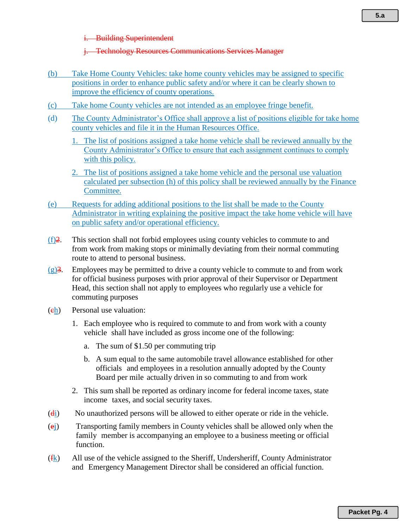#### **Building Superintendent**

#### j. Technology Resources Communications Services Manager

- (b) Take Home County Vehicles: take home county vehicles may be assigned to specific positions in order to enhance public safety and/or where it can be clearly shown to improve the efficiency of county operations.
- (c) Take home County vehicles are not intended as an employee fringe benefit.
- (d) The County Administrator's Office shall approve a list of positions eligible for take home county vehicles and file it in the Human Resources Office.
	- 1. The list of positions assigned a take home vehicle shall be reviewed annually by the County Administrator's Office to ensure that each assignment continues to comply with this policy.
	- 2. The list of positions assigned a take home vehicle and the personal use valuation calculated per subsection (h) of this policy shall be reviewed annually by the Finance Committee.
- (e) Requests for adding additional positions to the list shall be made to the County Administrator in writing explaining the positive impact the take home vehicle will have on public safety and/or operational efficiency.
- (f)2. This section shall not forbid employees using county vehicles to commute to and from work from making stops or minimally deviating from their normal commuting route to attend to personal business.
- $(g)$ 3. Employees may be permitted to drive a county vehicle to commute to and from work for official business purposes with prior approval of their Supervisor or Department Head, this section shall not apply to employees who regularly use a vehicle for commuting purposes
- (ch) Personal use valuation:
	- 1. Each employee who is required to commute to and from work with a county vehicle shall have included as gross income one of the following:
		- a. The sum of \$1.50 per commuting trip
		- b. A sum equal to the same automobile travel allowance established for other officials and employees in a resolution annually adopted by the County Board per mile actually driven in so commuting to and from work
	- 2. This sum shall be reported as ordinary income for federal income taxes, state income taxes, and social security taxes.
- (di) No unauthorized persons will be allowed to either operate or ride in the vehicle.
- (ej) Transporting family members in County vehicles shall be allowed only when the family member is accompanying an employee to a business meeting or official function.
- $(f_k)$  All use of the vehicle assigned to the Sheriff, Undersheriff, County Administrator and Emergency Management Director shall be considered an official function.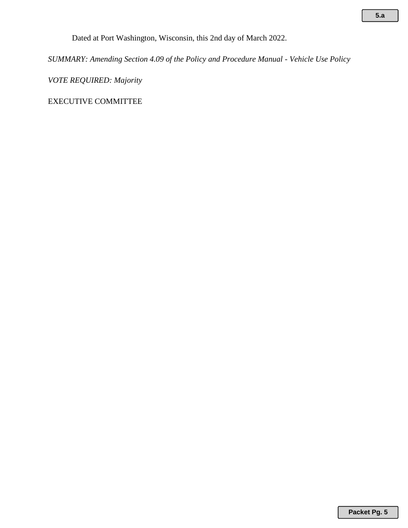Dated at Port Washington, Wisconsin, this 2nd day of March 2022.

*SUMMARY: Amending Section 4.09 of the Policy and Procedure Manual - Vehicle Use Policy*

*VOTE REQUIRED: Majority* 

EXECUTIVE COMMITTEE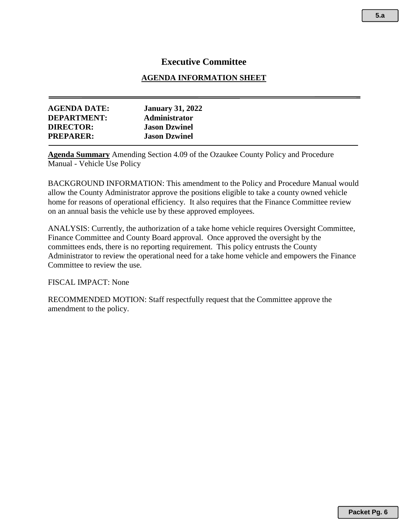# **Executive Committee**

### **AGENDA INFORMATION SHEET**

| <b>AGENDA DATE:</b> | <b>January 31, 2022</b> |  |
|---------------------|-------------------------|--|
| <b>DEPARTMENT:</b>  | <b>Administrator</b>    |  |
| <b>DIRECTOR:</b>    | <b>Jason Dzwinel</b>    |  |
| <b>PREPARER:</b>    | <b>Jason Dzwinel</b>    |  |
|                     |                         |  |

**Agenda Summary** Amending Section 4.09 of the Ozaukee County Policy and Procedure Manual - Vehicle Use Policy

BACKGROUND INFORMATION: This amendment to the Policy and Procedure Manual would allow the County Administrator approve the positions eligible to take a county owned vehicle home for reasons of operational efficiency. It also requires that the Finance Committee review on an annual basis the vehicle use by these approved employees.

ANALYSIS: Currently, the authorization of a take home vehicle requires Oversight Committee, Finance Committee and County Board approval. Once approved the oversight by the committees ends, there is no reporting requirement. This policy entrusts the County Administrator to review the operational need for a take home vehicle and empowers the Finance Committee to review the use.

FISCAL IMPACT: None

RECOMMENDED MOTION: Staff respectfully request that the Committee approve the amendment to the policy.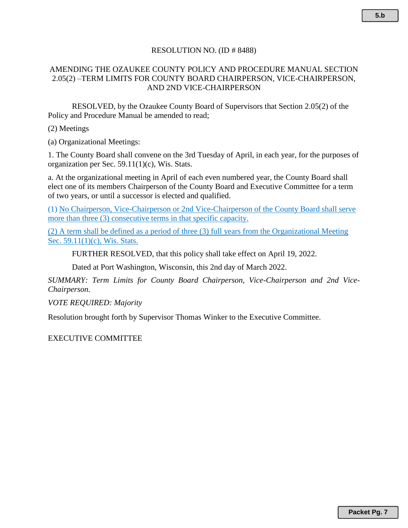### RESOLUTION NO. (ID # 8488)

### AMENDING THE OZAUKEE COUNTY POLICY AND PROCEDURE MANUAL SECTION 2.05(2) –TERM LIMITS FOR COUNTY BOARD CHAIRPERSON, VICE-CHAIRPERSON, AND 2ND VICE-CHAIRPERSON

RESOLVED, by the Ozaukee County Board of Supervisors that Section 2.05(2) of the Policy and Procedure Manual be amended to read;

(2) Meetings

(a) Organizational Meetings:

1. The County Board shall convene on the 3rd Tuesday of April, in each year, for the purposes of organization per Sec. 59.11(1)(c), Wis. Stats.

a. At the organizational meeting in April of each even numbered year, the County Board shall elect one of its members Chairperson of the County Board and Executive Committee for a term of two years, or until a successor is elected and qualified.

(1) No Chairperson, Vice-Chairperson or 2nd Vice-Chairperson of the County Board shall serve more than three (3) consecutive terms in that specific capacity.

(2) A term shall be defined as a period of three (3) full years from the Organizational Meeting Sec. 59.11(1)(c), Wis. Stats.

FURTHER RESOLVED, that this policy shall take effect on April 19, 2022.

Dated at Port Washington, Wisconsin, this 2nd day of March 2022.

*SUMMARY: Term Limits for County Board Chairperson, Vice-Chairperson and 2nd Vice-Chairperson.*

*VOTE REQUIRED: Majority*

Resolution brought forth by Supervisor Thomas Winker to the Executive Committee.

EXECUTIVE COMMITTEE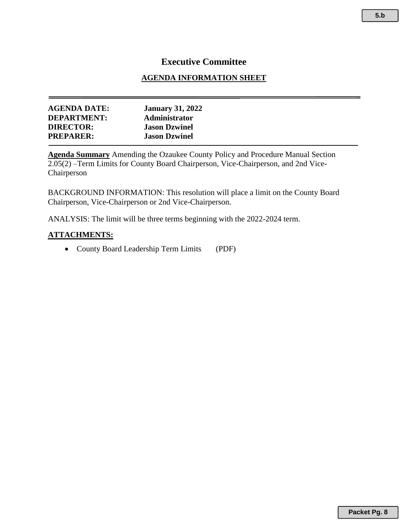# **Executive Committee**

### **AGENDA INFORMATION SHEET**

| <b>January 31, 2022</b> |
|-------------------------|
| <b>Administrator</b>    |
| <b>Jason Dzwinel</b>    |
| <b>Jason Dzwinel</b>    |
|                         |

**Agenda Summary** Amending the Ozaukee County Policy and Procedure Manual Section 2.05(2) –Term Limits for County Board Chairperson, Vice-Chairperson, and 2nd Vice-Chairperson

BACKGROUND INFORMATION: This resolution will place a limit on the County Board Chairperson, Vice-Chairperson or 2nd Vice-Chairperson.

ANALYSIS: The limit will be three terms beginning with the 2022-2024 term.

### **ATTACHMENTS:**

• County Board Leadership Term Limits (PDF)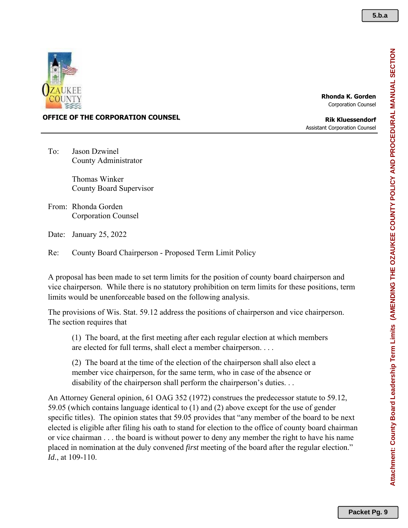

#### **Rhonda K. Gorden** Corporation Counsel

### **OFFICE OF THE CORPORATION COUNSEL**

**Rik Kluessendorf** Assistant Corporation Counsel

To: Jason Dzwinel County Administrator

> Thomas Winker County Board Supervisor

From: Rhonda Gorden Corporation Counsel

Date: January 25, 2022

Re: County Board Chairperson - Proposed Term Limit Policy

A proposal has been made to set term limits for the position of county board chairperson and vice chairperson. While there is no statutory prohibition on term limits for these positions, term limits would be unenforceable based on the following analysis.

The provisions of Wis. Stat. 59.12 address the positions of chairperson and vice chairperson. The section requires that

(1) The board, at the first meeting after each regular election at which members are elected for full terms, shall elect a member chairperson. . . .

(2) The board at the time of the election of the chairperson shall also elect a member vice chairperson, for the same term, who in case of the absence or disability of the chairperson shall perform the chairperson's duties...

An Attorney General opinion, 61 OAG 352 (1972) construes the predecessor statute to 59.12, 59.05 (which contains language identical to (1) and (2) above except for the use of gender specific titles). The opinion states that 59.05 provides that "any member of the board to be next elected is eligible after filing his oath to stand for election to the office of county board chairman or vice chairman . . . the board is without power to deny any member the right to have his name placed in nomination at the duly convened *first* meeting of the board after the regular election." *Id.*, at 109-110.